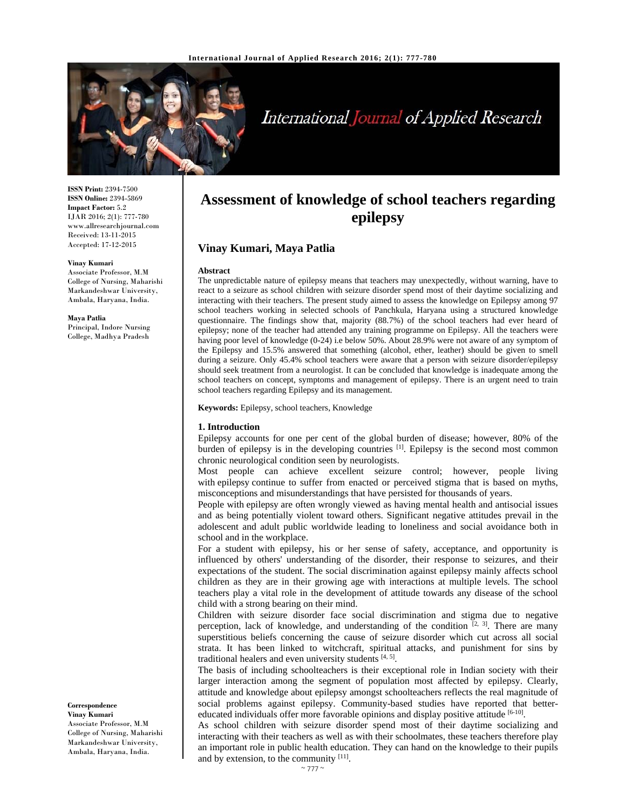

# International Journal of Applied Research

**ISSN Print:** 2394-7500 **ISSN Online:** 2394-5869 **Impact Factor:** 5.2 IJAR 2016; 2(1): 777-780 www.allresearchjournal.com Received: 13-11-2015 Accepted: 17-12-2015

#### **Vinay Kumari**

Associate Professor, M.M College of Nursing, Maharishi Markandeshwar University, Ambala, Haryana, India.

**Maya Patlia**  Principal, Indore Nursing College, Madhya Pradesh

#### **Correspondence Vinay Kumari**

Associate Professor, M.M College of Nursing, Maharishi Markandeshwar University, Ambala, Haryana, India.

## **Assessment of knowledge of school teachers regarding epilepsy**

## **Vinay Kumari, Maya Patlia**

#### **Abstract**

The unpredictable nature of epilepsy means that teachers may unexpectedly, without warning, have to react to a seizure as school children with seizure disorder spend most of their daytime socializing and interacting with their teachers. The present study aimed to assess the knowledge on Epilepsy among 97 school teachers working in selected schools of Panchkula, Haryana using a structured knowledge questionnaire. The findings show that, majority (88.7%) of the school teachers had ever heard of epilepsy; none of the teacher had attended any training programme on Epilepsy. All the teachers were having poor level of knowledge (0-24) i.e below 50%. About 28.9% were not aware of any symptom of the Epilepsy and 15.5% answered that something (alcohol, ether, leather) should be given to smell during a seizure. Only 45.4% school teachers were aware that a person with seizure disorder/epilepsy should seek treatment from a neurologist. It can be concluded that knowledge is inadequate among the school teachers on concept, symptoms and management of epilepsy. There is an urgent need to train school teachers regarding Epilepsy and its management.

**Keywords:** Epilepsy, school teachers, Knowledge

#### **1. Introduction**

Epilepsy accounts for one per cent of the global burden of disease; however, 80% of the burden of epilepsy is in the developing countries <sup>[1]</sup>. Epilepsy is the second most common chronic neurological condition seen by neurologists.

Most people can achieve excellent seizure control; however, people living with epilepsy continue to suffer from enacted or perceived stigma that is based on myths, misconceptions and misunderstandings that have persisted for thousands of years.

People with epilepsy are often wrongly viewed as having mental health and antisocial issues and as being potentially violent toward others. Significant negative attitudes prevail in the adolescent and adult public worldwide leading to loneliness and social avoidance both in school and in the workplace.

For a student with epilepsy, his or her sense of safety, acceptance, and opportunity is influenced by others' understanding of the disorder, their response to seizures, and their expectations of the student. The social discrimination against epilepsy mainly affects school children as they are in their growing age with interactions at multiple levels. The school teachers play a vital role in the development of attitude towards any disease of the school child with a strong bearing on their mind.

Children with seizure disorder face social discrimination and stigma due to negative perception, lack of knowledge, and understanding of the condition  $[2, 3]$ . There are many superstitious beliefs concerning the cause of seizure disorder which cut across all social strata. It has been linked to witchcraft, spiritual attacks, and punishment for sins by traditional healers and even university students  $[4, 5]$ .

The basis of including schoolteachers is their exceptional role in Indian society with their larger interaction among the segment of population most affected by epilepsy. Clearly, attitude and knowledge about epilepsy amongst schoolteachers reflects the real magnitude of social problems against epilepsy. Community-based studies have reported that bettereducated individuals offer more favorable opinions and display positive attitude  $[6-10]$ .

As school children with seizure disorder spend most of their daytime socializing and interacting with their teachers as well as with their schoolmates, these teachers therefore play an important role in public health education. They can hand on the knowledge to their pupils and by extension, to the community  $[11]$ .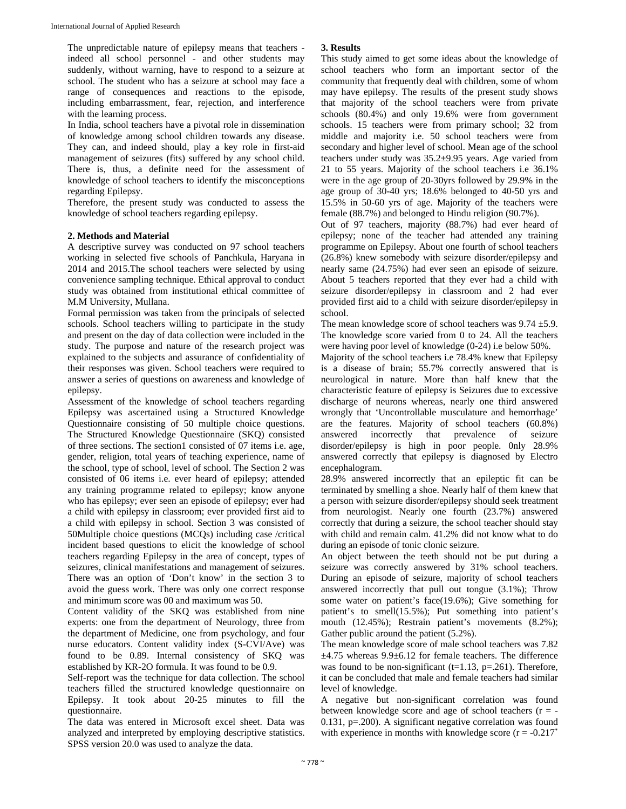The unpredictable nature of epilepsy means that teachers indeed all school personnel - and other students may suddenly, without warning, have to respond to a seizure at school. The student who has a seizure at school may face a range of consequences and reactions to the episode, including embarrassment, fear, rejection, and interference with the learning process.

In India, school teachers have a pivotal role in dissemination of knowledge among school children towards any disease. They can, and indeed should, play a key role in first-aid management of seizures (fits) suffered by any school child. There is, thus, a definite need for the assessment of knowledge of school teachers to identify the misconceptions regarding Epilepsy.

Therefore, the present study was conducted to assess the knowledge of school teachers regarding epilepsy.

### **2. Methods and Material**

A descriptive survey was conducted on 97 school teachers working in selected five schools of Panchkula, Haryana in 2014 and 2015.The school teachers were selected by using convenience sampling technique. Ethical approval to conduct study was obtained from institutional ethical committee of M.M University, Mullana.

Formal permission was taken from the principals of selected schools. School teachers willing to participate in the study and present on the day of data collection were included in the study. The purpose and nature of the research project was explained to the subjects and assurance of confidentiality of their responses was given. School teachers were required to answer a series of questions on awareness and knowledge of epilepsy.

Assessment of the knowledge of school teachers regarding Epilepsy was ascertained using a Structured Knowledge Questionnaire consisting of 50 multiple choice questions. The Structured Knowledge Questionnaire (SKQ) consisted of three sections. The section1 consisted of 07 items i.e. age, gender, religion, total years of teaching experience, name of the school, type of school, level of school. The Section 2 was consisted of 06 items i.e. ever heard of epilepsy; attended any training programme related to epilepsy; know anyone who has epilepsy; ever seen an episode of epilepsy; ever had a child with epilepsy in classroom; ever provided first aid to a child with epilepsy in school. Section 3 was consisted of 50Multiple choice questions (MCQs) including case /critical incident based questions to elicit the knowledge of school teachers regarding Epilepsy in the area of concept, types of seizures, clinical manifestations and management of seizures. There was an option of 'Don't know' in the section 3 to avoid the guess work. There was only one correct response and minimum score was 00 and maximum was 50.

Content validity of the SKQ was established from nine experts: one from the department of Neurology, three from the department of Medicine, one from psychology, and four nurse educators. Content validity index (S-CVI/Ave) was found to be 0.89. Internal consistency of SKQ was established by KR-2O formula. It was found to be 0.9.

Self-report was the technique for data collection. The school teachers filled the structured knowledge questionnaire on Epilepsy. It took about 20-25 minutes to fill the questionnaire.

The data was entered in Microsoft excel sheet. Data was analyzed and interpreted by employing descriptive statistics. SPSS version 20.0 was used to analyze the data.

## **3. Results**

This study aimed to get some ideas about the knowledge of school teachers who form an important sector of the community that frequently deal with children, some of whom may have epilepsy. The results of the present study shows that majority of the school teachers were from private schools (80.4%) and only 19.6% were from government schools. 15 teachers were from primary school; 32 from middle and majority i.e. 50 school teachers were from secondary and higher level of school. Mean age of the school teachers under study was 35.2±9.95 years. Age varied from 21 to 55 years. Majority of the school teachers i.e 36.1% were in the age group of 20-30yrs followed by 29.9% in the age group of 30-40 yrs; 18.6% belonged to 40-50 yrs and 15.5% in 50-60 yrs of age. Majority of the teachers were female (88.7%) and belonged to Hindu religion (90.7%).

Out of 97 teachers, majority (88.7%) had ever heard of epilepsy; none of the teacher had attended any training programme on Epilepsy. About one fourth of school teachers (26.8%) knew somebody with seizure disorder/epilepsy and nearly same (24.75%) had ever seen an episode of seizure. About 5 teachers reported that they ever had a child with seizure disorder/epilepsy in classroom and 2 had ever provided first aid to a child with seizure disorder/epilepsy in school.

The mean knowledge score of school teachers was  $9.74 \pm 5.9$ . The knowledge score varied from 0 to 24. All the teachers were having poor level of knowledge (0-24) i.e below 50%.

Majority of the school teachers i.e 78.4% knew that Epilepsy is a disease of brain; 55.7% correctly answered that is neurological in nature. More than half knew that the characteristic feature of epilepsy is Seizures due to excessive discharge of neurons whereas, nearly one third answered wrongly that 'Uncontrollable musculature and hemorrhage' are the features. Majority of school teachers (60.8%) answered incorrectly that prevalence of seizure disorder/epilepsy is high in poor people. 0nly 28.9% answered correctly that epilepsy is diagnosed by Electro encephalogram.

28.9% answered incorrectly that an epileptic fit can be terminated by smelling a shoe. Nearly half of them knew that a person with seizure disorder/epilepsy should seek treatment from neurologist. Nearly one fourth (23.7%) answered correctly that during a seizure, the school teacher should stay with child and remain calm. 41.2% did not know what to do during an episode of tonic clonic seizure.

An object between the teeth should not be put during a seizure was correctly answered by 31% school teachers. During an episode of seizure, majority of school teachers answered incorrectly that pull out tongue (3.1%); Throw some water on patient's face(19.6%); Give something for patient's to smell(15.5%); Put something into patient's mouth (12.45%); Restrain patient's movements (8.2%); Gather public around the patient (5.2%).

The mean knowledge score of male school teachers was 7.82  $\pm$ 4.75 whereas 9.9 $\pm$ 6.12 for female teachers. The difference was found to be non-significant ( $t=1.13$ ,  $p=.261$ ). Therefore, it can be concluded that male and female teachers had similar level of knowledge.

A negative but non-significant correlation was found between knowledge score and age of school teachers  $(r = -$ 0.131, p=.200). A significant negative correlation was found with experience in months with knowledge score  $(r = -0.217^*)$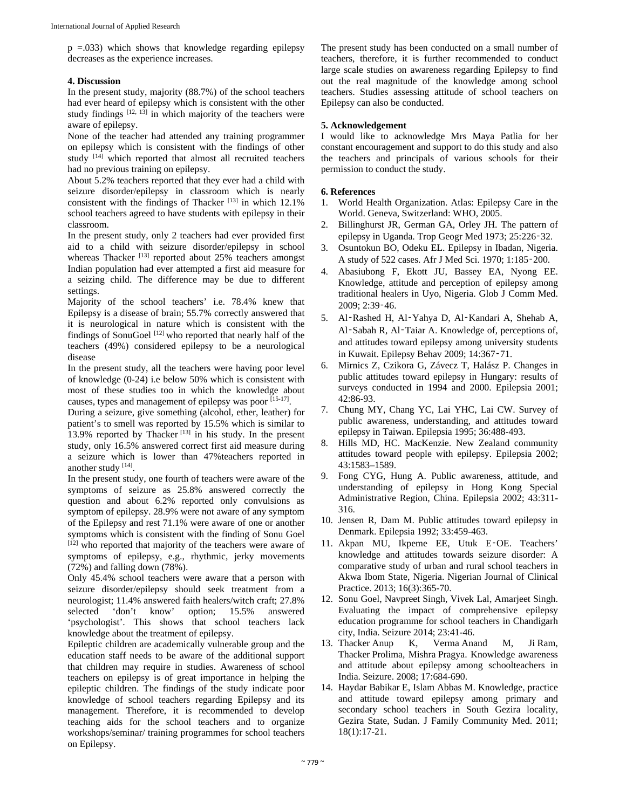$p = 0.033$ ) which shows that knowledge regarding epilepsy decreases as the experience increases.

## **4. Discussion**

In the present study, majority (88.7%) of the school teachers had ever heard of epilepsy which is consistent with the other study findings  $[12, 13]$  in which majority of the teachers were aware of epilepsy.

None of the teacher had attended any training programmer on epilepsy which is consistent with the findings of other study <sup>[14]</sup> which reported that almost all recruited teachers had no previous training on epilepsy.

About 5.2% teachers reported that they ever had a child with seizure disorder/epilepsy in classroom which is nearly consistent with the findings of Thacker  $^{[13]}$  in which 12.1% school teachers agreed to have students with epilepsy in their classroom.

In the present study, only 2 teachers had ever provided first aid to a child with seizure disorder/epilepsy in school whereas Thacker [13] reported about 25% teachers amongst Indian population had ever attempted a first aid measure for a seizing child. The difference may be due to different settings.

Majority of the school teachers' i.e. 78.4% knew that Epilepsy is a disease of brain; 55.7% correctly answered that it is neurological in nature which is consistent with the findings of SonuGoel [12] who reported that nearly half of the teachers (49%) considered epilepsy to be a neurological disease

In the present study, all the teachers were having poor level of knowledge (0-24) i.e below 50% which is consistent with most of these studies too in which the knowledge about causes, types and management of epilepsy was poor [15-17].

During a seizure, give something (alcohol, ether, leather) for patient's to smell was reported by 15.5% which is similar to 13.9% reported by Thacker<sup> $[13]$ </sup> in his study. In the present study, only 16.5% answered correct first aid measure during a seizure which is lower than 47%teachers reported in another study [14].

In the present study, one fourth of teachers were aware of the symptoms of seizure as 25.8% answered correctly the question and about 6.2% reported only convulsions as symptom of epilepsy. 28.9% were not aware of any symptom of the Epilepsy and rest 71.1% were aware of one or another symptoms which is consistent with the finding of Sonu Goel [12] who reported that majority of the teachers were aware of symptoms of epilepsy, e.g., rhythmic, jerky movements (72%) and falling down (78%).

Only 45.4% school teachers were aware that a person with seizure disorder/epilepsy should seek treatment from a neurologist; 11.4% answered faith healers/witch craft; 27.8% selected 'don't know' option; 15.5% answered 'psychologist'. This shows that school teachers lack knowledge about the treatment of epilepsy.

Epileptic children are academically vulnerable group and the education staff needs to be aware of the additional support that children may require in studies. Awareness of school teachers on epilepsy is of great importance in helping the epileptic children. The findings of the study indicate poor knowledge of school teachers regarding Epilepsy and its management. Therefore, it is recommended to develop teaching aids for the school teachers and to organize workshops/seminar/ training programmes for school teachers on Epilepsy.

The present study has been conducted on a small number of teachers, therefore, it is further recommended to conduct large scale studies on awareness regarding Epilepsy to find out the real magnitude of the knowledge among school teachers. Studies assessing attitude of school teachers on Epilepsy can also be conducted.

## **5. Acknowledgement**

I would like to acknowledge Mrs Maya Patlia for her constant encouragement and support to do this study and also the teachers and principals of various schools for their permission to conduct the study.

## **6. References**

- 1. World Health Organization. Atlas: Epilepsy Care in the World. Geneva, Switzerland: WHO, 2005.
- 2. Billinghurst JR, German GA, Orley JH. The pattern of epilepsy in Uganda. Trop Geogr Med 1973; 25:226‑32.
- 3. Osuntokun BO, Odeku EL. Epilepsy in Ibadan, Nigeria. A study of 522 cases. Afr J Med Sci. 1970; 1:185‑200.
- 4. Abasiubong F, Ekott JU, Bassey EA, Nyong EE. Knowledge, attitude and perception of epilepsy among traditional healers in Uyo, Nigeria. Glob J Comm Med. 2009; 2:39‑46.
- 5. Al‑Rashed H, Al‑Yahya D, Al‑Kandari A, Shehab A, Al-Sabah R, Al-Taiar A. Knowledge of, perceptions of, and attitudes toward epilepsy among university students in Kuwait. Epilepsy Behav 2009; 14:367‑71.
- 6. Mirnics Z, Czikora G, Závecz T, Halász P. Changes in public attitudes toward epilepsy in Hungary: results of surveys conducted in 1994 and 2000. Epilepsia 2001; 42:86-93.
- 7. Chung MY, Chang YC, Lai YHC, Lai CW. Survey of public awareness, understanding, and attitudes toward epilepsy in Taiwan. Epilepsia 1995; 36:488-493.
- 8. Hills MD, HC. MacKenzie. New Zealand community attitudes toward people with epilepsy. Epilepsia 2002; 43:1583–1589.
- 9. Fong CYG, Hung A. Public awareness, attitude, and understanding of epilepsy in Hong Kong Special Administrative Region, China. Epilepsia 2002; 43:311- 316.
- 10. Jensen R, Dam M. Public attitudes toward epilepsy in Denmark. Epilepsia 1992; 33:459-463.
- 11. Akpan MU, Ikpeme EE, Utuk E‑OE. Teachers' knowledge and attitudes towards seizure disorder: A comparative study of urban and rural school teachers in Akwa Ibom State, Nigeria. Nigerian Journal of Clinical Practice. 2013; 16(3):365-70.
- 12. Sonu Goel, Navpreet Singh, Vivek Lal, Amarjeet Singh. Evaluating the impact of comprehensive epilepsy education programme for school teachers in Chandigarh city, India. Seizure 2014; 23:41-46.
- 13. Thacker Anup K, Verma Anand M, Ji Ram, Thacker Prolima, Mishra Pragya. Knowledge awareness and attitude about epilepsy among schoolteachers in India. Seizure. 2008; 17:684-690.
- 14. Haydar Babikar E, Islam Abbas M. Knowledge, practice and attitude toward epilepsy among primary and secondary school teachers in South Gezira locality, Gezira State, Sudan. J Family Community Med. 2011; 18(1):17-21.